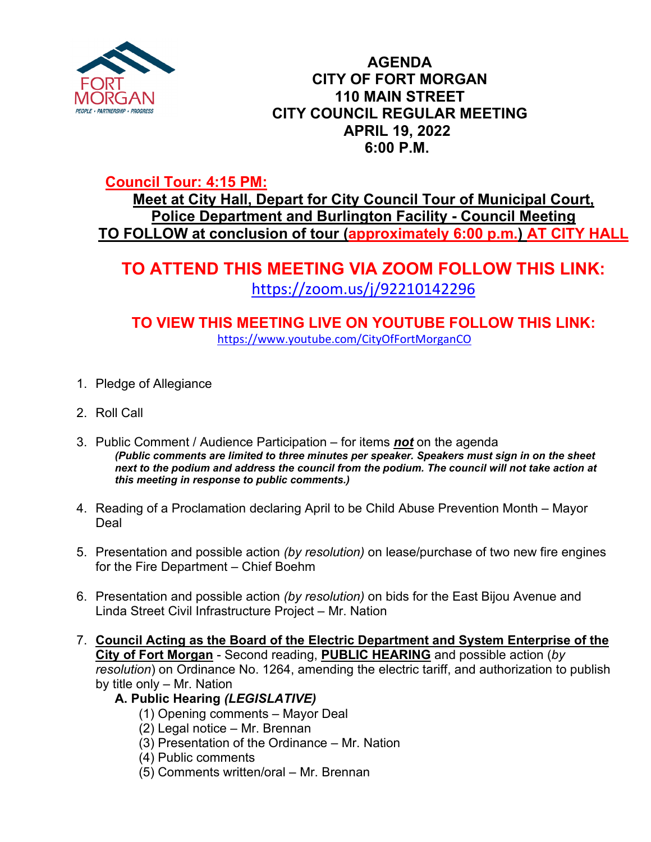

## **AGENDA CITY OF FORT MORGAN 110 MAIN STREET CITY COUNCIL REGULAR MEETING APRIL 19, 2022 6:00 P.M.**

# **Council Tour: 4:15 PM:**

**Meet at City Hall, Depart for City Council Tour of Municipal Court, Police Department and Burlington Facility - Council Meeting TO FOLLOW at conclusion of tour (approximately 6:00 p.m.) AT CITY HALL**

# **TO ATTEND THIS MEETING VIA ZOOM FOLLOW THIS LINK:** <https://zoom.us/j/92210142296>

**TO VIEW THIS MEETING LIVE ON YOUTUBE FOLLOW THIS LINK:** <https://www.youtube.com/CityOfFortMorganCO>

- 1. Pledge of Allegiance
- 2. Roll Call
- 3. Public Comment / Audience Participation for items *not* on the agenda *(Public comments are limited to three minutes per speaker. Speakers must sign in on the sheet next to the podium and address the council from the podium. The council will not take action at this meeting in response to public comments.)*
- 4. Reading of a Proclamation declaring April to be Child Abuse Prevention Month Mayor Deal
- 5. Presentation and possible action *(by resolution)* on lease/purchase of two new fire engines for the Fire Department – Chief Boehm
- 6. Presentation and possible action *(by resolution)* on bids for the East Bijou Avenue and Linda Street Civil Infrastructure Project – Mr. Nation
- 7. **Council Acting as the Board of the Electric Department and System Enterprise of the City of Fort Morgan** - Second reading, **PUBLIC HEARING** and possible action (*by resolution*) on Ordinance No. 1264, amending the electric tariff, and authorization to publish by title only – Mr. Nation
	- **A. Public Hearing** *(LEGISLATIVE)*
		- (1) Opening comments Mayor Deal
		- (2) Legal notice Mr. Brennan
		- (3) Presentation of the Ordinance Mr. Nation
		- (4) Public comments
		- (5) Comments written/oral Mr. Brennan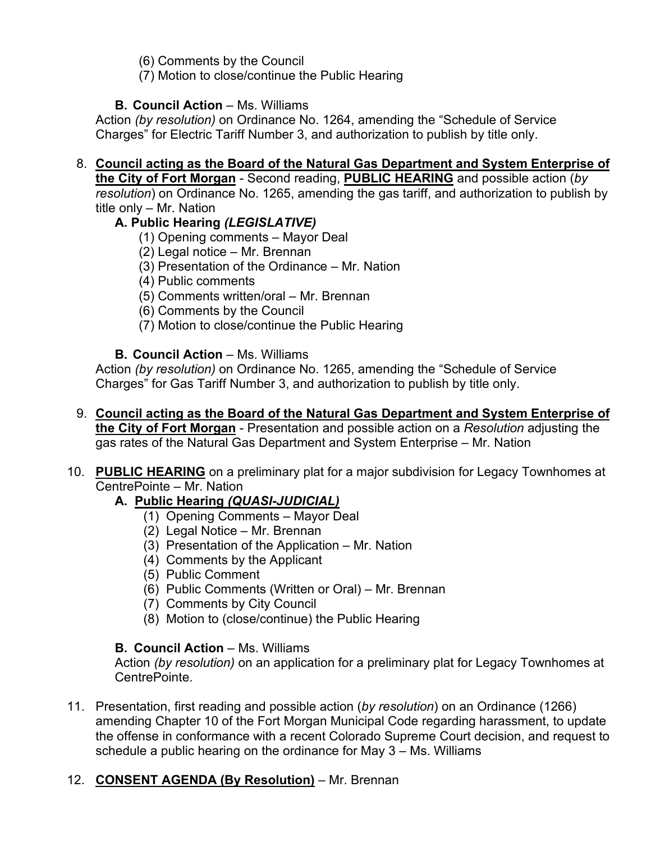(6) Comments by the Council

(7) Motion to close/continue the Public Hearing

#### **B. Council Action – Ms. Williams**

Action *(by resolution)* on Ordinance No. 1264, amending the "Schedule of Service Charges" for Electric Tariff Number 3, and authorization to publish by title only.

## 8. **Council acting as the Board of the Natural Gas Department and System Enterprise of the City of Fort Morgan** - Second reading, **PUBLIC HEARING** and possible action (*by*

*resolution*) on Ordinance No. 1265, amending the gas tariff, and authorization to publish by title only – Mr. Nation

#### **A. Public Hearing** *(LEGISLATIVE)*

- (1) Opening comments Mayor Deal
- (2) Legal notice Mr. Brennan
- (3) Presentation of the Ordinance Mr. Nation
- (4) Public comments
- (5) Comments written/oral Mr. Brennan
- (6) Comments by the Council
- (7) Motion to close/continue the Public Hearing

#### **B. Council Action – Ms. Williams**

Action *(by resolution)* on Ordinance No. 1265, amending the "Schedule of Service Charges" for Gas Tariff Number 3, and authorization to publish by title only.

- 9. **Council acting as the Board of the Natural Gas Department and System Enterprise of the City of Fort Morgan** - Presentation and possible action on a *Resolution* adjusting the gas rates of the Natural Gas Department and System Enterprise – Mr. Nation
- 10. **PUBLIC HEARING** on a preliminary plat for a major subdivision for Legacy Townhomes at CentrePointe – Mr. Nation

#### **A.****Public Hearing** *(QUASI-JUDICIAL)*

- (1) Opening Comments Mayor Deal
- (2) Legal Notice Mr. Brennan
- (3) Presentation of the Application Mr. Nation
- (4) Comments by the Applicant
- (5) Public Comment
- (6) Public Comments (Written or Oral) Mr. Brennan
- (7) Comments by City Council
- (8) Motion to (close/continue) the Public Hearing

#### **B. Council Action** – Ms. Williams

Action *(by resolution)* on an application for a preliminary plat for Legacy Townhomes at CentrePointe.

11. Presentation, first reading and possible action (*by resolution*) on an Ordinance (1266) amending Chapter 10 of the Fort Morgan Municipal Code regarding harassment, to update the offense in conformance with a recent Colorado Supreme Court decision, and request to schedule a public hearing on the ordinance for May 3 – Ms. Williams

## 12. **CONSENT AGENDA (By Resolution)** – Mr. Brennan